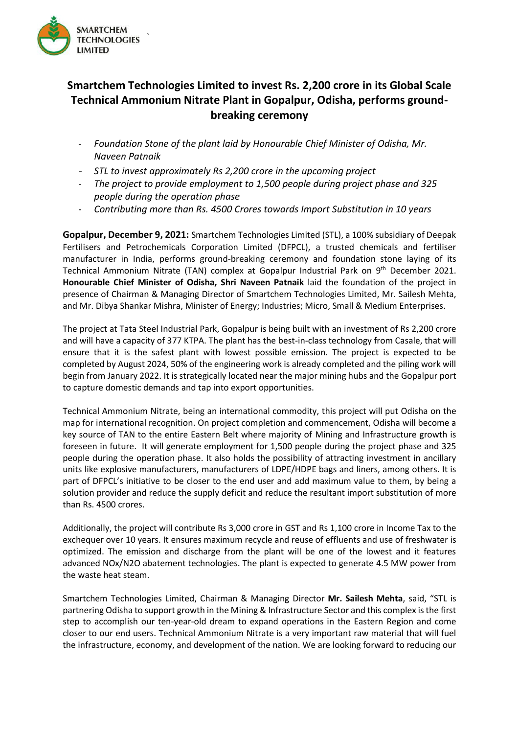

## **Smartchem Technologies Limited to invest Rs. 2,200 crore in its Global Scale Technical Ammonium Nitrate Plant in Gopalpur, Odisha, performs groundbreaking ceremony**

- *Foundation Stone of the plant laid by Honourable Chief Minister of Odisha, Mr. Naveen Patnaik*
- *STL to invest approximately Rs 2,200 crore in the upcoming project*
- *The project to provide employment to 1,500 people during project phase and 325 people during the operation phase*
- *Contributing more than Rs. 4500 Crores towards Import Substitution in 10 years*

**Gopalpur, December 9, 2021:** Smartchem Technologies Limited (STL), a 100% subsidiary of Deepak Fertilisers and Petrochemicals Corporation Limited (DFPCL), a trusted chemicals and fertiliser manufacturer in India, performs ground-breaking ceremony and foundation stone laying of its Technical Ammonium Nitrate (TAN) complex at Gopalpur Industrial Park on 9<sup>th</sup> December 2021. **Honourable Chief Minister of Odisha, Shri Naveen Patnaik** laid the foundation of the project in presence of Chairman & Managing Director of Smartchem Technologies Limited, Mr. Sailesh Mehta, and Mr. Dibya Shankar Mishra, Minister of Energy; Industries; Micro, Small & Medium Enterprises.

The project at Tata Steel Industrial Park, Gopalpur is being built with an investment of Rs 2,200 crore and will have a capacity of 377 KTPA. The plant has the best-in-class technology from Casale, that will ensure that it is the safest plant with lowest possible emission. The project is expected to be completed by August 2024, 50% of the engineering work is already completed and the piling work will begin from January 2022. It is strategically located near the major mining hubs and the Gopalpur port to capture domestic demands and tap into export opportunities.

Technical Ammonium Nitrate, being an international commodity, this project will put Odisha on the map for international recognition. On project completion and commencement, Odisha will become a key source of TAN to the entire Eastern Belt where majority of Mining and Infrastructure growth is foreseen in future. It will generate employment for 1,500 people during the project phase and 325 people during the operation phase. It also holds the possibility of attracting investment in ancillary units like explosive manufacturers, manufacturers of LDPE/HDPE bags and liners, among others. It is part of DFPCL's initiative to be closer to the end user and add maximum value to them, by being a solution provider and reduce the supply deficit and reduce the resultant import substitution of more than Rs. 4500 crores.

Additionally, the project will contribute Rs 3,000 crore in GST and Rs 1,100 crore in Income Tax to the exchequer over 10 years. It ensures maximum recycle and reuse of effluents and use of freshwater is optimized. The emission and discharge from the plant will be one of the lowest and it features advanced NOx/N2O abatement technologies. The plant is expected to generate 4.5 MW power from the waste heat steam.

Smartchem Technologies Limited, Chairman & Managing Director **Mr. Sailesh Mehta**, said, "STL is partnering Odisha to support growth in the Mining & Infrastructure Sector and this complex is the first step to accomplish our ten-year-old dream to expand operations in the Eastern Region and come closer to our end users. Technical Ammonium Nitrate is a very important raw material that will fuel the infrastructure, economy, and development of the nation. We are looking forward to reducing our